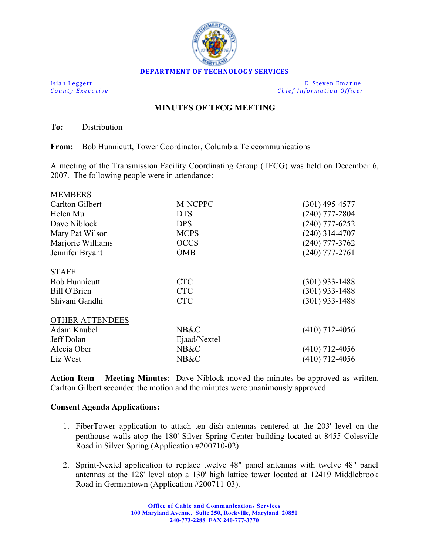

**Isiah Leggett E.** Steven Emanuel *County Executive Chief Information Officer*

## **MINUTES OF TFCG MEETING**

**To:** Distribution

 $\overline{\mathbf{m}}$ 

**From:** Bob Hunnicutt, Tower Coordinator, Columbia Telecommunications

A meeting of the Transmission Facility Coordinating Group (TFCG) was held on December 6, 2007. The following people were in attendance:

| <b>MEMBERS</b>         |              |                  |
|------------------------|--------------|------------------|
| <b>Carlton Gilbert</b> | M-NCPPC      | $(301)$ 495-4577 |
| Helen Mu               | <b>DTS</b>   | $(240)$ 777-2804 |
| Dave Niblock           | <b>DPS</b>   | $(240)$ 777-6252 |
| Mary Pat Wilson        | <b>MCPS</b>  | $(240)$ 314-4707 |
| Marjorie Williams      | <b>OCCS</b>  | $(240)$ 777-3762 |
| Jennifer Bryant        | <b>OMB</b>   | $(240)$ 777-2761 |
| <b>STAFF</b>           |              |                  |
| <b>Bob Hunnicutt</b>   | <b>CTC</b>   | $(301)$ 933-1488 |
| Bill O'Brien           | <b>CTC</b>   | $(301)$ 933-1488 |
| Shivani Gandhi         | <b>CTC</b>   | $(301)$ 933-1488 |
| <b>OTHER ATTENDEES</b> |              |                  |
| Adam Knubel            | NB&C         | $(410)$ 712-4056 |
| Jeff Dolan             | Ejaad/Nextel |                  |
| Alecia Ober            | NB&C         | $(410)$ 712-4056 |
| Liz West               | NB&C         | $(410)$ 712-4056 |
|                        |              |                  |

**Action Item – Meeting Minutes**: Dave Niblock moved the minutes be approved as written. Carlton Gilbert seconded the motion and the minutes were unanimously approved.

## **Consent Agenda Applications:**

- 1. FiberTower application to attach ten dish antennas centered at the 203' level on the penthouse walls atop the 180' Silver Spring Center building located at 8455 Colesville Road in Silver Spring (Application #200710-02).
- 2. Sprint-Nextel application to replace twelve 48" panel antennas with twelve 48" panel antennas at the 128' level atop a 130' high lattice tower located at 12419 Middlebrook Road in Germantown (Application #200711-03).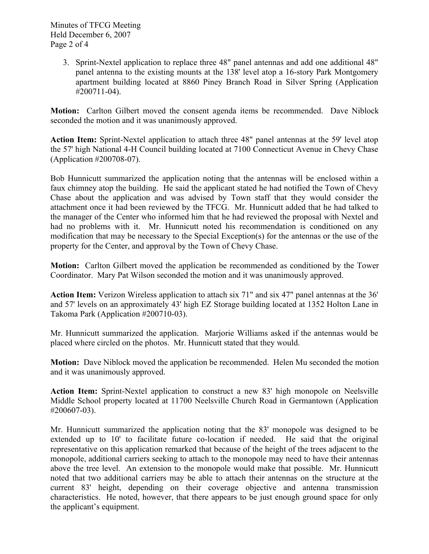Minutes of TFCG Meeting Held December 6, 2007 Page 2 of 4

> 3. Sprint-Nextel application to replace three 48" panel antennas and add one additional 48" panel antenna to the existing mounts at the 138' level atop a 16-story Park Montgomery apartment building located at 8860 Piney Branch Road in Silver Spring (Application #200711-04).

**Motion:** Carlton Gilbert moved the consent agenda items be recommended. Dave Niblock seconded the motion and it was unanimously approved.

**Action Item:** Sprint-Nextel application to attach three 48" panel antennas at the 59' level atop the 57' high National 4-H Council building located at 7100 Connecticut Avenue in Chevy Chase (Application #200708-07).

Bob Hunnicutt summarized the application noting that the antennas will be enclosed within a faux chimney atop the building. He said the applicant stated he had notified the Town of Chevy Chase about the application and was advised by Town staff that they would consider the attachment once it had been reviewed by the TFCG. Mr. Hunnicutt added that he had talked to the manager of the Center who informed him that he had reviewed the proposal with Nextel and had no problems with it. Mr. Hunnicutt noted his recommendation is conditioned on any modification that may be necessary to the Special Exception(s) for the antennas or the use of the property for the Center, and approval by the Town of Chevy Chase.

**Motion:** Carlton Gilbert moved the application be recommended as conditioned by the Tower Coordinator. Mary Pat Wilson seconded the motion and it was unanimously approved.

**Action Item:** Verizon Wireless application to attach six 71" and six 47" panel antennas at the 36' and 57' levels on an approximately 43' high EZ Storage building located at 1352 Holton Lane in Takoma Park (Application #200710-03).

Mr. Hunnicutt summarized the application. Marjorie Williams asked if the antennas would be placed where circled on the photos. Mr. Hunnicutt stated that they would.

**Motion:** Dave Niblock moved the application be recommended. Helen Mu seconded the motion and it was unanimously approved.

**Action Item:** Sprint-Nextel application to construct a new 83' high monopole on Neelsville Middle School property located at 11700 Neelsville Church Road in Germantown (Application #200607-03).

Mr. Hunnicutt summarized the application noting that the 83' monopole was designed to be extended up to 10' to facilitate future co-location if needed. He said that the original representative on this application remarked that because of the height of the trees adjacent to the monopole, additional carriers seeking to attach to the monopole may need to have their antennas above the tree level. An extension to the monopole would make that possible. Mr. Hunnicutt noted that two additional carriers may be able to attach their antennas on the structure at the current 83' height, depending on their coverage objective and antenna transmission characteristics. He noted, however, that there appears to be just enough ground space for only the applicant's equipment.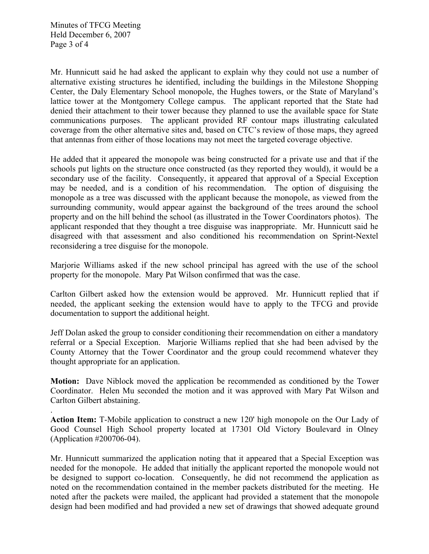.

Mr. Hunnicutt said he had asked the applicant to explain why they could not use a number of alternative existing structures he identified, including the buildings in the Milestone Shopping Center, the Daly Elementary School monopole, the Hughes towers, or the State of Maryland's lattice tower at the Montgomery College campus. The applicant reported that the State had denied their attachment to their tower because they planned to use the available space for State communications purposes. The applicant provided RF contour maps illustrating calculated coverage from the other alternative sites and, based on CTC's review of those maps, they agreed that antennas from either of those locations may not meet the targeted coverage objective.

He added that it appeared the monopole was being constructed for a private use and that if the schools put lights on the structure once constructed (as they reported they would), it would be a secondary use of the facility. Consequently, it appeared that approval of a Special Exception may be needed, and is a condition of his recommendation. The option of disguising the monopole as a tree was discussed with the applicant because the monopole, as viewed from the surrounding community, would appear against the background of the trees around the school property and on the hill behind the school (as illustrated in the Tower Coordinators photos). The applicant responded that they thought a tree disguise was inappropriate. Mr. Hunnicutt said he disagreed with that assessment and also conditioned his recommendation on Sprint-Nextel reconsidering a tree disguise for the monopole.

Marjorie Williams asked if the new school principal has agreed with the use of the school property for the monopole. Mary Pat Wilson confirmed that was the case.

Carlton Gilbert asked how the extension would be approved. Mr. Hunnicutt replied that if needed, the applicant seeking the extension would have to apply to the TFCG and provide documentation to support the additional height.

Jeff Dolan asked the group to consider conditioning their recommendation on either a mandatory referral or a Special Exception. Marjorie Williams replied that she had been advised by the County Attorney that the Tower Coordinator and the group could recommend whatever they thought appropriate for an application.

**Motion:** Dave Niblock moved the application be recommended as conditioned by the Tower Coordinator. Helen Mu seconded the motion and it was approved with Mary Pat Wilson and Carlton Gilbert abstaining.

**Action Item:** T-Mobile application to construct a new 120' high monopole on the Our Lady of Good Counsel High School property located at 17301 Old Victory Boulevard in Olney (Application #200706-04).

Mr. Hunnicutt summarized the application noting that it appeared that a Special Exception was needed for the monopole. He added that initially the applicant reported the monopole would not be designed to support co-location. Consequently, he did not recommend the application as noted on the recommendation contained in the member packets distributed for the meeting. He noted after the packets were mailed, the applicant had provided a statement that the monopole design had been modified and had provided a new set of drawings that showed adequate ground